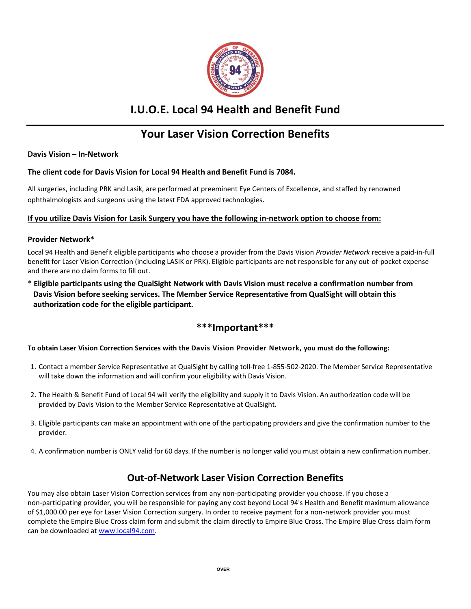

# **I.U.O.E. Local 94 Health and Benefit Fund**

# **Your Laser Vision Correction Benefits**

**Davis Vision – In-Network**

## **The client code for Davis Vision for Local 94 Health and Benefit Fund is 7084.**

All surgeries, including PRK and Lasik, are performed at preeminent Eye Centers of Excellence, and staffed by renowned ophthalmologists and surgeons using the latest FDA approved technologies.

## **If you utilize Davis Vision for Lasik Surgery you have the following in-network option to choose from:**

#### **Provider Network\***

Local 94 Health and Benefit eligible participants who choose a provider from the Davis Vision *Provider Network* receive a paid-in-full benefit for Laser Vision Correction (including LASIK or PRK). Eligible participants are not responsible for any out-of-pocket expense and there are no claim forms to fill out.

\* **Eligible participants using the QualSight Network with Davis Vision must receive a confirmation number from Davis Vision before seeking services. The Member Service Representative from QualSight will obtain this authorization code for the eligible participant.** 

## **\*\*\*Important\*\*\***

#### **To obtain Laser Vision Correction Services with the Davis Vision Provider Network, you must do the following:**

- 1. Contact a member Service Representative at QualSight by calling toll-free 1-855-502-2020. The Member Service Representative will take down the information and will confirm your eligibility with Davis Vision.
- 2. The Health & Benefit Fund of Local 94 will verify the eligibility and supply it to Davis Vision. An authorization code will be provided by Davis Vision to the Member Service Representative at QualSight.
- 3. Eligible participants can make an appointment with one of the participating providers and give the confirmation number to the provider.
- 4. A confirmation number is ONLY valid for 60 days. If the number is no longer valid you must obtain a new confirmation number.

# **Out-of-Network Laser Vision Correction Benefits**

You may also obtain Laser Vision Correction services from any non-participating provider you choose. If you chose a non-participating provider, you will be responsible for paying any cost beyond Local 94's Health and Benefit maximum allowance of \$1,000.00 per eye for Laser Vision Correction surgery. In order to receive payment for a non-network provider you must complete the Empire Blue Cross claim form and submit the claim directly to Empire Blue Cross. The Empire Blue Cross claim form can be downloaded a[t www.local94.com.](http://www.local94.com/)